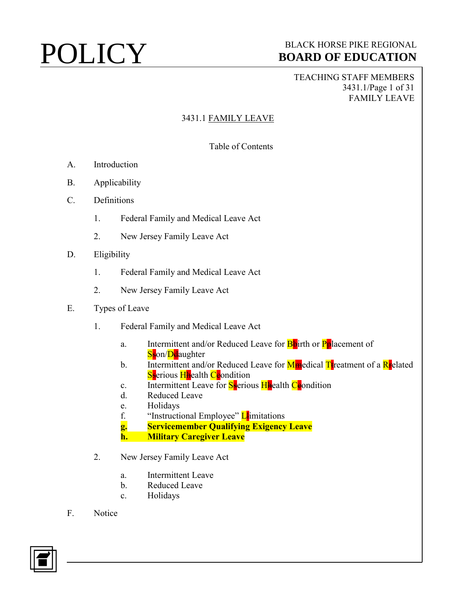TEACHING STAFF MEMBERS 3431.1/Page 1 of 31 FAMILY LEAVE

## 3431.1 FAMILY LEAVE

## Table of Contents

- A. Introduction
- B. Applicability
- C. Definitions
	- 1. Federal Family and Medical Leave Act
	- 2. New Jersey Family Leave Act
- D. Eligibility
	- 1. Federal Family and Medical Leave Act
	- 2. New Jersey Family Leave Act
- E. Types of Leave
	- 1. Federal Family and Medical Leave Act
		- a. Intermittent and/or Reduced Leave for **B**birth or **Pplacement of** Sson/Deaughter
		- b. Intermittent and/or Reduced Leave for  $M_{\rm He}$ dical T<sub>r</sub>eatment of a R<sub>r</sub>elated Sserious Haealth Ceondition
		- c. Intermittent Leave for  $S$ -erious H-ealth C-eondition
		- d. Reduced Leave
		- e. Holidays
		- f. "Instructional Employee"  $\mathbf{L}$  imitations
		- **g. Servicemember Qualifying Exigency Leave**
		- **h. Military Caregiver Leave**
	- 2. New Jersey Family Leave Act
		- a. Intermittent Leave
		- b. Reduced Leave
		- c. Holidays
- F. Notice

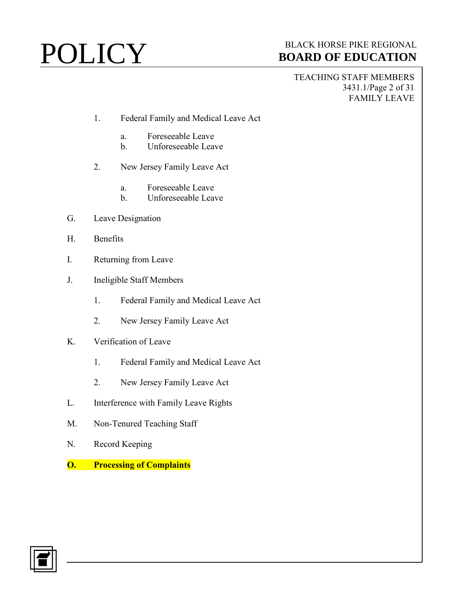TEACHING STAFF MEMBERS 3431.1/Page 2 of 31 FAMILY LEAVE

- 1. Federal Family and Medical Leave Act
	- a. Foreseeable Leave
	- b. Unforeseeable Leave
- 2. New Jersey Family Leave Act
	- a. Foreseeable Leave
	- b. Unforeseeable Leave
- G. Leave Designation
- H. Benefits
- I. Returning from Leave
- J. Ineligible Staff Members
	- 1. Federal Family and Medical Leave Act
	- 2. New Jersey Family Leave Act
- K. Verification of Leave
	- 1. Federal Family and Medical Leave Act
	- 2. New Jersey Family Leave Act
- L. Interference with Family Leave Rights
- M. Non-Tenured Teaching Staff
- N. Record Keeping
- **O. Processing of Complaints**

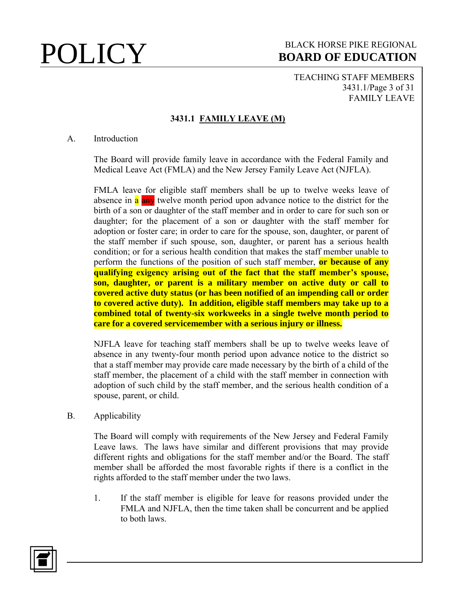TEACHING STAFF MEMBERS 3431.1/Page 3 of 31 FAMILY LEAVE

## **3431.1 FAMILY LEAVE (M)**

### A. Introduction

The Board will provide family leave in accordance with the Federal Family and Medical Leave Act (FMLA) and the New Jersey Family Leave Act (NJFLA).

FMLA leave for eligible staff members shall be up to twelve weeks leave of absence in a any twelve month period upon advance notice to the district for the birth of a son or daughter of the staff member and in order to care for such son or daughter; for the placement of a son or daughter with the staff member for adoption or foster care; in order to care for the spouse, son, daughter, or parent of the staff member if such spouse, son, daughter, or parent has a serious health condition; or for a serious health condition that makes the staff member unable to perform the functions of the position of such staff member, **or because of any qualifying exigency arising out of the fact that the staff member's spouse, son, daughter, or parent is a military member on active duty or call to covered active duty status (or has been notified of an impending call or order to covered active duty). In addition, eligible staff members may take up to a combined total of twenty-six workweeks in a single twelve month period to care for a covered servicemember with a serious injury or illness.**

NJFLA leave for teaching staff members shall be up to twelve weeks leave of absence in any twenty-four month period upon advance notice to the district so that a staff member may provide care made necessary by the birth of a child of the staff member, the placement of a child with the staff member in connection with adoption of such child by the staff member, and the serious health condition of a spouse, parent, or child.

B. Applicability

The Board will comply with requirements of the New Jersey and Federal Family Leave laws. The laws have similar and different provisions that may provide different rights and obligations for the staff member and/or the Board. The staff member shall be afforded the most favorable rights if there is a conflict in the rights afforded to the staff member under the two laws.

1. If the staff member is eligible for leave for reasons provided under the FMLA and NJFLA, then the time taken shall be concurrent and be applied to both laws.

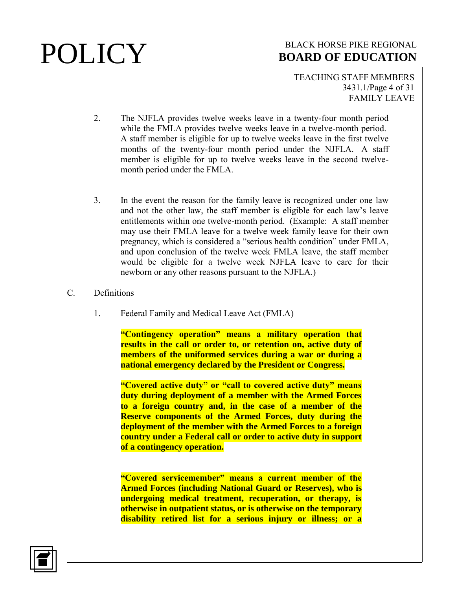TEACHING STAFF MEMBERS 3431.1/Page 4 of 31 FAMILY LEAVE

- 2. The NJFLA provides twelve weeks leave in a twenty-four month period while the FMLA provides twelve weeks leave in a twelve-month period. A staff member is eligible for up to twelve weeks leave in the first twelve months of the twenty-four month period under the NJFLA. A staff member is eligible for up to twelve weeks leave in the second twelvemonth period under the FMLA.
- 3. In the event the reason for the family leave is recognized under one law and not the other law, the staff member is eligible for each law's leave entitlements within one twelve-month period. (Example: A staff member may use their FMLA leave for a twelve week family leave for their own pregnancy, which is considered a "serious health condition" under FMLA, and upon conclusion of the twelve week FMLA leave, the staff member would be eligible for a twelve week NJFLA leave to care for their newborn or any other reasons pursuant to the NJFLA.)
- C. Definitions
	- 1. Federal Family and Medical Leave Act (FMLA)

**"Contingency operation" means a military operation that results in the call or order to, or retention on, active duty of members of the uniformed services during a war or during a national emergency declared by the President or Congress.**

**"Covered active duty" or "call to covered active duty" means duty during deployment of a member with the Armed Forces to a foreign country and, in the case of a member of the Reserve components of the Armed Forces, duty during the deployment of the member with the Armed Forces to a foreign country under a Federal call or order to active duty in support of a contingency operation.**

**"Covered servicemember" means a current member of the Armed Forces (including National Guard or Reserves), who is undergoing medical treatment, recuperation, or therapy, is otherwise in outpatient status, or is otherwise on the temporary disability retired list for a serious injury or illness; or a** 

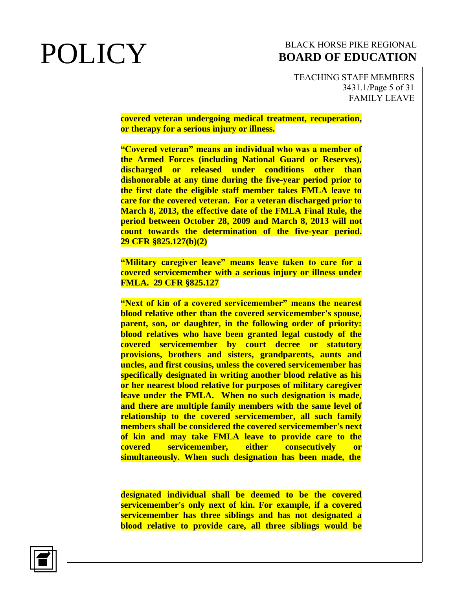TEACHING STAFF MEMBERS 3431.1/Page 5 of 31 FAMILY LEAVE

**covered veteran undergoing medical treatment, recuperation, or therapy for a serious injury or illness.**

**"Covered veteran" means an individual who was a member of the Armed Forces (including National Guard or Reserves), discharged or released under conditions other than dishonorable at any time during the five-year period prior to the first date the eligible staff member takes FMLA leave to care for the covered veteran. For a veteran discharged prior to March 8, 2013, the effective date of the FMLA Final Rule, the period between October 28, 2009 and March 8, 2013 will not count towards the determination of the five-year period. 29 CFR §825.127(b)(2)**

**"Military caregiver leave" means leave taken to care for a covered servicemember with a serious injury or illness under FMLA. 29 CFR §825.127**

**"Next of kin of a covered servicemember" means the nearest blood relative other than the covered servicemember's spouse, parent, son, or daughter, in the following order of priority: blood relatives who have been granted legal custody of the covered servicemember by court decree or statutory provisions, brothers and sisters, grandparents, aunts and uncles, and first cousins, unless the covered servicemember has specifically designated in writing another blood relative as his or her nearest blood relative for purposes of military caregiver leave under the FMLA. When no such designation is made, and there are multiple family members with the same level of relationship to the covered servicemember, all such family members shall be considered the covered servicemember's next of kin and may take FMLA leave to provide care to the covered servicemember, either consecutively or simultaneously. When such designation has been made, the** 

**designated individual shall be deemed to be the covered servicemember's only next of kin. For example, if a covered servicemember has three siblings and has not designated a blood relative to provide care, all three siblings would be** 

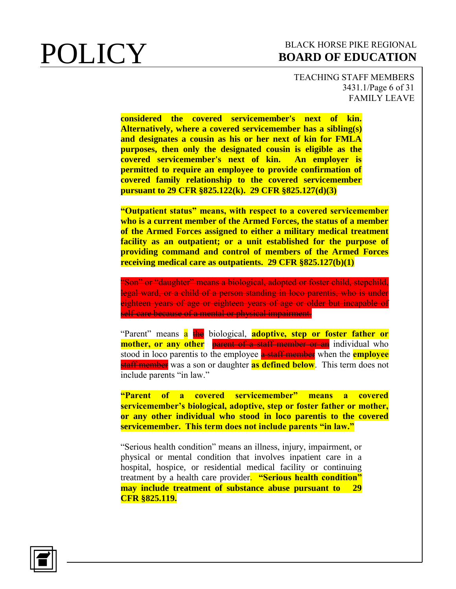TEACHING STAFF MEMBERS 3431.1/Page 6 of 31 FAMILY LEAVE

**considered the covered servicemember's next of kin. Alternatively, where a covered servicemember has a sibling(s) and designates a cousin as his or her next of kin for FMLA purposes, then only the designated cousin is eligible as the covered servicemember's next of kin. An employer is permitted to require an employee to provide confirmation of covered family relationship to the covered servicemember pursuant to 29 CFR §825.122(k). 29 CFR §825.127(d)(3)**

**"Outpatient status" means, with respect to a covered servicemember who is a current member of the Armed Forces, the status of a member of the Armed Forces assigned to either a military medical treatment facility as an outpatient; or a unit established for the purpose of providing command and control of members of the Armed Forces receiving medical care as outpatients. 29 CFR §825.127(b)(1)**

"Son" or "daughter" means a biological, adopted or foster child, stepchild, legal ward, or a child of a person standing in loco parentis, who is under eighteen years of age or eighteen years of age or older but incapable of self-care because of a mental or physical impairment.

"Parent" means a the biological, **adoptive, step or foster father or mother, or any other** parent of a staff member or an individual who stood in loco parentis to the employee a staff member when the **employee** staff member was a son or daughter **as defined below**. This term does not include parents "in law."

**"Parent of a covered servicemember" means a covered servicemember's biological, adoptive, step or foster father or mother, or any other individual who stood in loco parentis to the covered servicemember. This term does not include parents "in law."**

"Serious health condition" means an illness, injury, impairment, or physical or mental condition that involves inpatient care in a hospital, hospice, or residential medical facility or continuing treatment by a health care provider. **"Serious health condition" may include treatment of substance abuse pursuant to 29 CFR §825.119.**

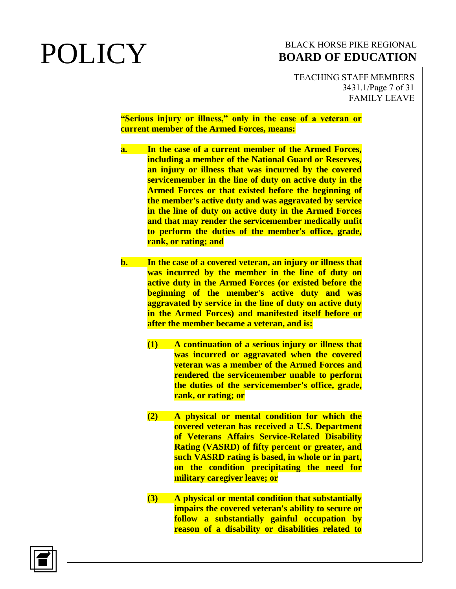TEACHING STAFF MEMBERS 3431.1/Page 7 of 31 FAMILY LEAVE

### **"Serious injury or illness," only in the case of a veteran or current member of the Armed Forces, means:**

- **a. In the case of a current member of the Armed Forces, including a member of the National Guard or Reserves, an injury or illness that was incurred by the covered servicemember in the line of duty on active duty in the Armed Forces or that existed before the beginning of the member's active duty and was aggravated by service in the line of duty on active duty in the Armed Forces and that may render the servicemember medically unfit to perform the duties of the member's office, grade, rank, or rating; and**
- **b. In the case of a covered veteran, an injury or illness that was incurred by the member in the line of duty on active duty in the Armed Forces (or existed before the beginning of the member's active duty and was aggravated by service in the line of duty on active duty in the Armed Forces) and manifested itself before or after the member became a veteran, and is:**
	- **(1) A continuation of a serious injury or illness that was incurred or aggravated when the covered veteran was a member of the Armed Forces and rendered the servicemember unable to perform the duties of the servicemember's office, grade, rank, or rating; or**
	- **(2) A physical or mental condition for which the covered veteran has received a U.S. Department of Veterans Affairs Service-Related Disability Rating (VASRD) of fifty percent or greater, and such VASRD rating is based, in whole or in part, on the condition precipitating the need for military caregiver leave; or**
	- **(3) A physical or mental condition that substantially impairs the covered veteran's ability to secure or follow a substantially gainful occupation by reason of a disability or disabilities related to**

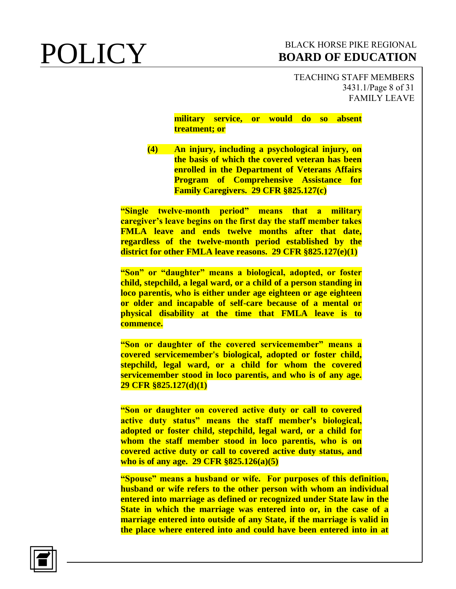TEACHING STAFF MEMBERS 3431.1/Page 8 of 31 FAMILY LEAVE

**military service, or would do so absent treatment; or**

**(4) An injury, including a psychological injury, on the basis of which the covered veteran has been enrolled in the Department of Veterans Affairs Program of Comprehensive Assistance for Family Caregivers. 29 CFR §825.127(c)**

**"Single twelve-month period" means that a military caregiver's leave begins on the first day the staff member takes FMLA leave and ends twelve months after that date, regardless of the twelve-month period established by the district for other FMLA leave reasons. 29 CFR §825.127(e)(1)**

**"Son" or "daughter" means a biological, adopted, or foster child, stepchild, a legal ward, or a child of a person standing in loco parentis, who is either under age eighteen or age eighteen or older and incapable of self-care because of a mental or physical disability at the time that FMLA leave is to commence.**

**"Son or daughter of the covered servicemember" means a covered servicemember's biological, adopted or foster child, stepchild, legal ward, or a child for whom the covered servicemember stood in loco parentis, and who is of any age. 29 CFR §825.127(d)(1)**

**"Son or daughter on covered active duty or call to covered active duty status" means the staff member's biological, adopted or foster child, stepchild, legal ward, or a child for whom the staff member stood in loco parentis, who is on covered active duty or call to covered active duty status, and who is of any age. 29 CFR §825.126(a)(5)**

**"Spouse" means a husband or wife. For purposes of this definition, husband or wife refers to the other person with whom an individual entered into marriage as defined or recognized under State law in the State in which the marriage was entered into or, in the case of a marriage entered into outside of any State, if the marriage is valid in the place where entered into and could have been entered into in at** 

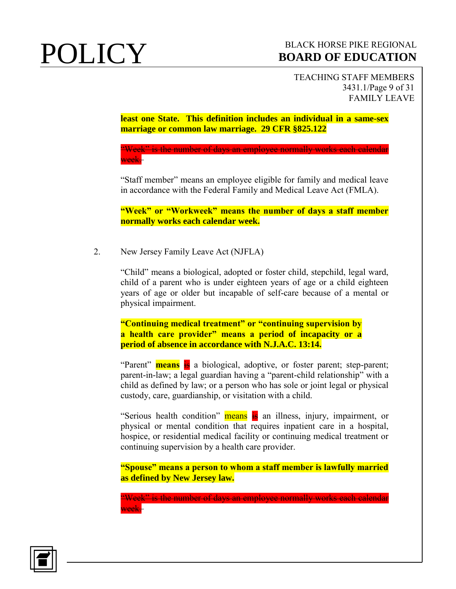TEACHING STAFF MEMBERS 3431.1/Page 9 of 31 FAMILY LEAVE

**least one State. This definition includes an individual in a same-sex marriage or common law marriage. 29 CFR §825.122**

"Week" is the number of days an employee normally works each calendar week.

"Staff member" means an employee eligible for family and medical leave in accordance with the Federal Family and Medical Leave Act (FMLA).

**"Week" or "Workweek" means the number of days a staff member normally works each calendar week.** 

2. New Jersey Family Leave Act (NJFLA)

"Child" means a biological, adopted or foster child, stepchild, legal ward, child of a parent who is under eighteen years of age or a child eighteen years of age or older but incapable of self-care because of a mental or physical impairment.

**"Continuing medical treatment" or "continuing supervision by a health care provider" means a period of incapacity or a period of absence in accordance with N.J.A.C. 13:14.**

"Parent" **means** is a biological, adoptive, or foster parent; step-parent; parent-in-law; a legal guardian having a "parent-child relationship" with a child as defined by law; or a person who has sole or joint legal or physical custody, care, guardianship, or visitation with a child.

"Serious health condition" means is an illness, injury, impairment, or physical or mental condition that requires inpatient care in a hospital, hospice, or residential medical facility or continuing medical treatment or continuing supervision by a health care provider.

**"Spouse" means a person to whom a staff member is lawfully married as defined by New Jersey law.**

"Week" is the number of days an employee normally works each calendar week.

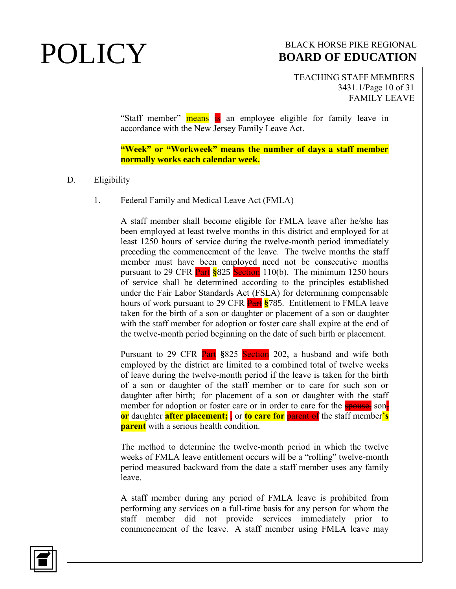TEACHING STAFF MEMBERS 3431.1/Page 10 of 31 FAMILY LEAVE

"Staff member" means is an employee eligible for family leave in accordance with the New Jersey Family Leave Act.

**"Week" or "Workweek" means the number of days a staff member normally works each calendar week.**

## D. Eligibility

1. Federal Family and Medical Leave Act (FMLA)

A staff member shall become eligible for FMLA leave after he/she has been employed at least twelve months in this district and employed for at least 1250 hours of service during the twelve-month period immediately preceding the commencement of the leave. The twelve months the staff member must have been employed need not be consecutive months pursuant to 29 CFR **Part §**825 Section 110(b). The minimum 1250 hours of service shall be determined according to the principles established under the Fair Labor Standards Act (FSLA) for determining compensable hours of work pursuant to 29 CFR Part **§**785. Entitlement to FMLA leave taken for the birth of a son or daughter or placement of a son or daughter with the staff member for adoption or foster care shall expire at the end of the twelve-month period beginning on the date of such birth or placement.

Pursuant to 29 CFR **Part** §825 Section 202, a husband and wife both employed by the district are limited to a combined total of twelve weeks of leave during the twelve-month period if the leave is taken for the birth of a son or daughter of the staff member or to care for such son or daughter after birth; for placement of a son or daughter with the staff member for adoption or foster care or in order to care for the spouse, son, **or** daughter **after placement;** or **to care for** parent of the staff member's **parent** with a serious health condition.

The method to determine the twelve-month period in which the twelve weeks of FMLA leave entitlement occurs will be a "rolling" twelve-month period measured backward from the date a staff member uses any family leave.

A staff member during any period of FMLA leave is prohibited from performing any services on a full-time basis for any person for whom the staff member did not provide services immediately prior to commencement of the leave. A staff member using FMLA leave may

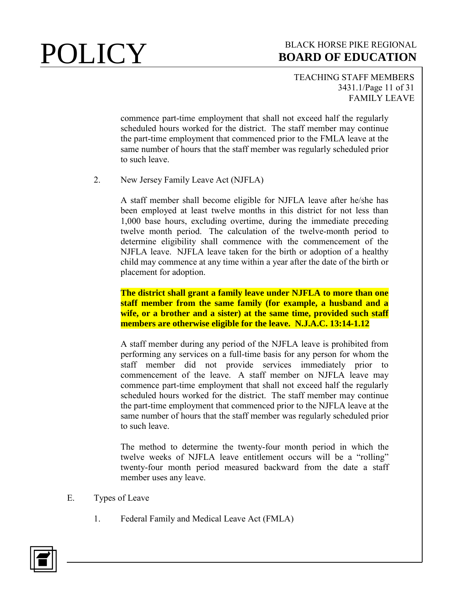## TEACHING STAFF MEMBERS 3431.1/Page 11 of 31 FAMILY LEAVE

commence part-time employment that shall not exceed half the regularly scheduled hours worked for the district. The staff member may continue the part-time employment that commenced prior to the FMLA leave at the same number of hours that the staff member was regularly scheduled prior to such leave.

## 2. New Jersey Family Leave Act (NJFLA)

A staff member shall become eligible for NJFLA leave after he/she has been employed at least twelve months in this district for not less than 1,000 base hours, excluding overtime, during the immediate preceding twelve month period. The calculation of the twelve-month period to determine eligibility shall commence with the commencement of the NJFLA leave. NJFLA leave taken for the birth or adoption of a healthy child may commence at any time within a year after the date of the birth or placement for adoption.

**The district shall grant a family leave under NJFLA to more than one staff member from the same family (for example, a husband and a wife, or a brother and a sister) at the same time, provided such staff members are otherwise eligible for the leave. N.J.A.C. 13:14-1.12**

A staff member during any period of the NJFLA leave is prohibited from performing any services on a full-time basis for any person for whom the staff member did not provide services immediately prior to commencement of the leave. A staff member on NJFLA leave may commence part-time employment that shall not exceed half the regularly scheduled hours worked for the district. The staff member may continue the part-time employment that commenced prior to the NJFLA leave at the same number of hours that the staff member was regularly scheduled prior to such leave.

The method to determine the twenty-four month period in which the twelve weeks of NJFLA leave entitlement occurs will be a "rolling" twenty-four month period measured backward from the date a staff member uses any leave.

- E. Types of Leave
	- 1. Federal Family and Medical Leave Act (FMLA)

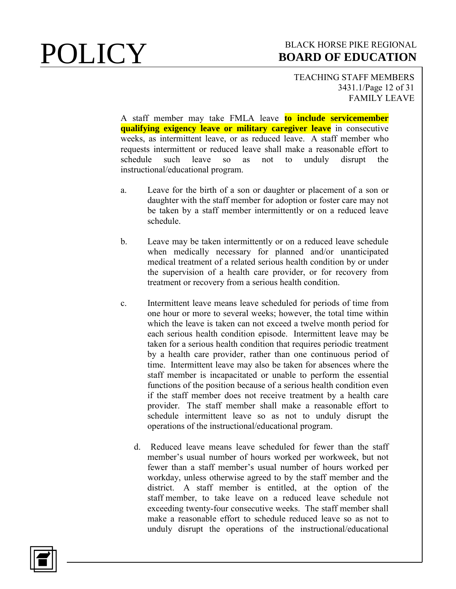### TEACHING STAFF MEMBERS 3431.1/Page 12 of 31 FAMILY LEAVE

A staff member may take FMLA leave **to include servicemember qualifying exigency leave or military caregiver leave** in consecutive weeks, as intermittent leave, or as reduced leave. A staff member who requests intermittent or reduced leave shall make a reasonable effort to schedule such leave so as not to unduly disrupt the instructional/educational program.

- a. Leave for the birth of a son or daughter or placement of a son or daughter with the staff member for adoption or foster care may not be taken by a staff member intermittently or on a reduced leave schedule.
- b. Leave may be taken intermittently or on a reduced leave schedule when medically necessary for planned and/or unanticipated medical treatment of a related serious health condition by or under the supervision of a health care provider, or for recovery from treatment or recovery from a serious health condition.
- c. Intermittent leave means leave scheduled for periods of time from one hour or more to several weeks; however, the total time within which the leave is taken can not exceed a twelve month period for each serious health condition episode. Intermittent leave may be taken for a serious health condition that requires periodic treatment by a health care provider, rather than one continuous period of time. Intermittent leave may also be taken for absences where the staff member is incapacitated or unable to perform the essential functions of the position because of a serious health condition even if the staff member does not receive treatment by a health care provider. The staff member shall make a reasonable effort to schedule intermittent leave so as not to unduly disrupt the operations of the instructional/educational program.
	- d. Reduced leave means leave scheduled for fewer than the staff member's usual number of hours worked per workweek, but not fewer than a staff member's usual number of hours worked per workday, unless otherwise agreed to by the staff member and the district. A staff member is entitled, at the option of the staff member, to take leave on a reduced leave schedule not exceeding twenty-four consecutive weeks. The staff member shall make a reasonable effort to schedule reduced leave so as not to unduly disrupt the operations of the instructional/educational

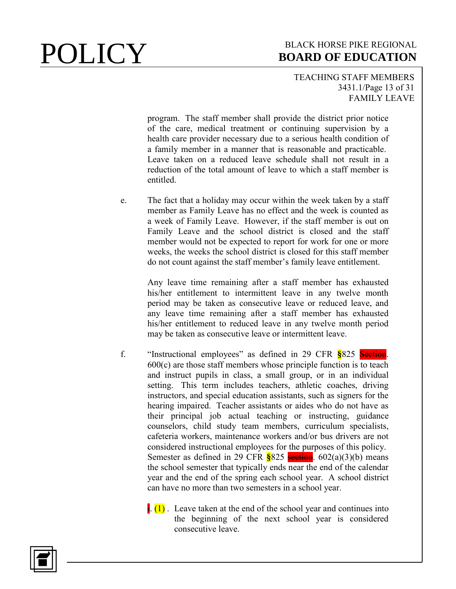### TEACHING STAFF MEMBERS 3431.1/Page 13 of 31 FAMILY LEAVE

program. The staff member shall provide the district prior notice of the care, medical treatment or continuing supervision by a health care provider necessary due to a serious health condition of a family member in a manner that is reasonable and practicable. Leave taken on a reduced leave schedule shall not result in a reduction of the total amount of leave to which a staff member is entitled.

e. The fact that a holiday may occur within the week taken by a staff member as Family Leave has no effect and the week is counted as a week of Family Leave. However, if the staff member is out on Family Leave and the school district is closed and the staff member would not be expected to report for work for one or more weeks, the weeks the school district is closed for this staff member do not count against the staff member's family leave entitlement.

> Any leave time remaining after a staff member has exhausted his/her entitlement to intermittent leave in any twelve month period may be taken as consecutive leave or reduced leave, and any leave time remaining after a staff member has exhausted his/her entitlement to reduced leave in any twelve month period may be taken as consecutive leave or intermittent leave.

- f. "Instructional employees" as defined in 29 CFR **§**825 Section.  $600(c)$  are those staff members whose principle function is to teach and instruct pupils in class, a small group, or in an individual setting. This term includes teachers, athletic coaches, driving instructors, and special education assistants, such as signers for the hearing impaired. Teacher assistants or aides who do not have as their principal job actual teaching or instructing, guidance counselors, child study team members, curriculum specialists, cafeteria workers, maintenance workers and/or bus drivers are not considered instructional employees for the purposes of this policy. Semester as defined in 29 CFR  $\frac{8825}{\text{section}}$ . 602(a)(3)(b) means the school semester that typically ends near the end of the calendar year and the end of the spring each school year. A school district can have no more than two semesters in a school year.
	- $\frac{1}{2}$ . Leave taken at the end of the school year and continues into the beginning of the next school year is considered consecutive leave.

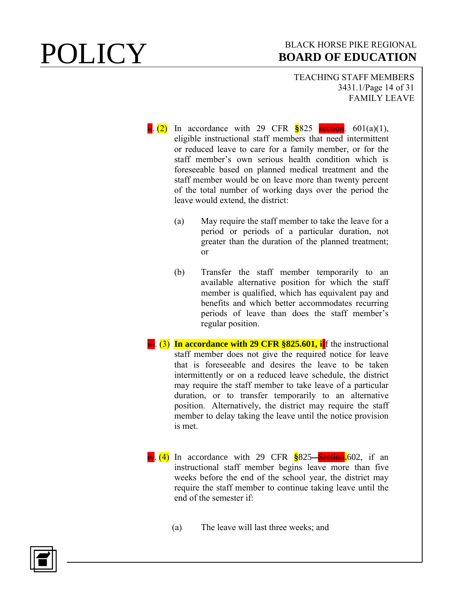TEACHING STAFF MEMBERS 3431.1/Page 14 of 31 FAMILY LEAVE

- $\frac{1}{11}$ . (2) In accordance with 29 CFR  $\frac{8}{8}825$  section. 601(a)(1), eligible instructional staff members that need intermittent or reduced leave to care for a family member, or for the staff member's own serious health condition which is foreseeable based on planned medical treatment and the staff member would be on leave more than twenty percent of the total number of working days over the period the leave would extend, the district:
	- (a) May require the staff member to take the leave for a period or periods of a particular duration, not greater than the duration of the planned treatment; or
	- (b) Transfer the staff member temporarily to an available alternative position for which the staff member is qualified, which has equivalent pay and benefits and which better accommodates recurring periods of leave than does the staff member's regular position.
- **iii.** (3) In accordance with 29 CFR §825.601, i<sup>I</sup>f the instructional staff member does not give the required notice for leave that is foreseeable and desires the leave to be taken intermittently or on a reduced leave schedule, the district may require the staff member to take leave of a particular duration, or to transfer temporarily to an alternative position. Alternatively, the district may require the staff member to delay taking the leave until the notice provision is met.
- **iv.** (4) In accordance with 29 CFR **§**825—Section. 602, if an instructional staff member begins leave more than five weeks before the end of the school year, the district may require the staff member to continue taking leave until the end of the semester if:
	- (a) The leave will last three weeks; and

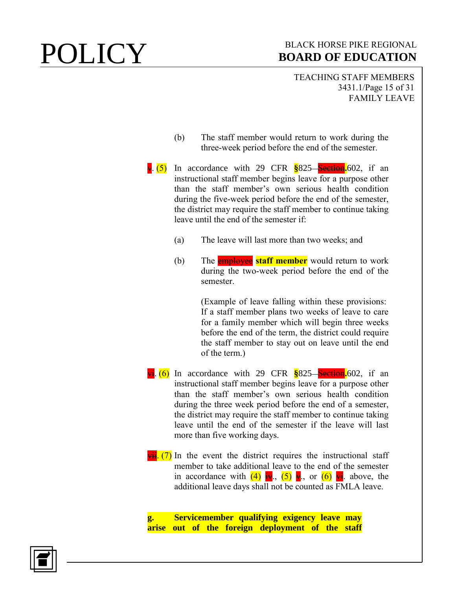TEACHING STAFF MEMBERS 3431.1/Page 15 of 31 FAMILY LEAVE

- (b) The staff member would return to work during the three-week period before the end of the semester.
- **v.** (5) In accordance with 29 CFR \$825 Section. 602, if an instructional staff member begins leave for a purpose other than the staff member's own serious health condition during the five-week period before the end of the semester, the district may require the staff member to continue taking leave until the end of the semester if:
	- (a) The leave will last more than two weeks; and
	- (b) The employee **staff member** would return to work during the two-week period before the end of the semester.

(Example of leave falling within these provisions: If a staff member plans two weeks of leave to care for a family member which will begin three weeks before the end of the term, the district could require the staff member to stay out on leave until the end of the term.)

- **vi.** (6) In accordance with 29 CFR \$825 Section. 602, if an instructional staff member begins leave for a purpose other than the staff member's own serious health condition during the three week period before the end of a semester, the district may require the staff member to continue taking leave until the end of the semester if the leave will last more than five working days.
- $\frac{\overline{v}\cdot \overline{u}}{\overline{v}}$ . (7) In the event the district requires the instructional staff member to take additional leave to the end of the semester in accordance with  $(4)$  iv.,  $(5)$  v., or  $(6)$  vi. above, the additional leave days shall not be counted as FMLA leave.

**g. Servicemember qualifying exigency leave may arise out of the foreign deployment of the staff** 

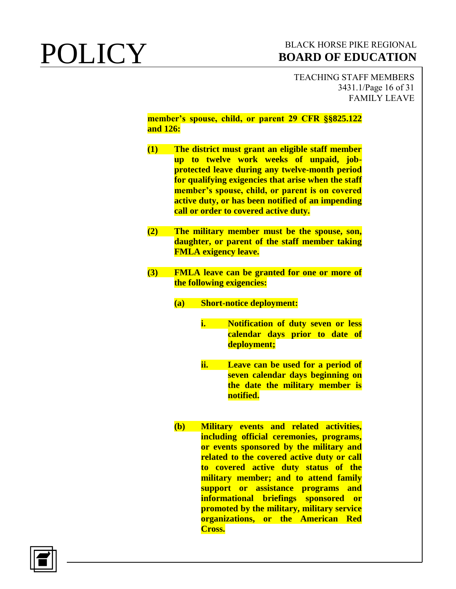TEACHING STAFF MEMBERS 3431.1/Page 16 of 31 FAMILY LEAVE

**member's spouse, child, or parent 29 CFR §§825.122 and 126:**

- **(1) The district must grant an eligible staff member up to twelve work weeks of unpaid, jobprotected leave during any twelve-month period for qualifying exigencies that arise when the staff member's spouse, child, or parent is on covered active duty, or has been notified of an impending call or order to covered active duty.**
- **(2) The military member must be the spouse, son, daughter, or parent of the staff member taking FMLA exigency leave.**
- **(3) FMLA leave can be granted for one or more of the following exigencies:**
	- **(a) Short-notice deployment:**
		- **i. Notification of duty seven or less calendar days prior to date of deployment;**
		- **ii. Leave can be used for a period of seven calendar days beginning on the date the military member is notified.**
	- **(b) Military events and related activities, including official ceremonies, programs, or events sponsored by the military and related to the covered active duty or call to covered active duty status of the military member; and to attend family support or assistance programs and informational briefings sponsored or promoted by the military, military service organizations, or the American Red Cross.**

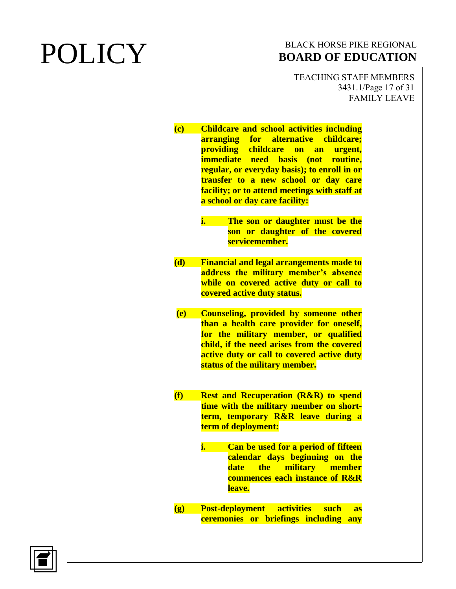TEACHING STAFF MEMBERS 3431.1/Page 17 of 31 FAMILY LEAVE

**(c) Childcare and school activities including arranging for alternative childcare; providing childcare on an urgent, immediate need basis (not routine, regular, or everyday basis); to enroll in or transfer to a new school or day care facility; or to attend meetings with staff at a school or day care facility:**

- **i. The son or daughter must be the son or daughter of the covered servicemember.**
- **(d) Financial and legal arrangements made to address the military member's absence while on covered active duty or call to covered active duty status.**
- **(e) Counseling, provided by someone other than a health care provider for oneself, for the military member, or qualified child, if the need arises from the covered active duty or call to covered active duty status of the military member.**
- **(f) Rest and Recuperation (R&R) to spend time with the military member on shortterm, temporary R&R leave during a term of deployment:**
	- **i. Can be used for a period of fifteen calendar days beginning on the date the military member commences each instance of R&R leave.**
- **(g) Post-deployment activities such as ceremonies or briefings including any**

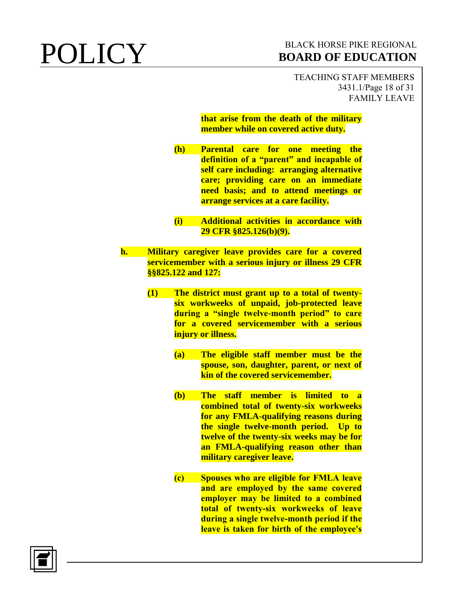TEACHING STAFF MEMBERS 3431.1/Page 18 of 31 FAMILY LEAVE

### **that arise from the death of the military member while on covered active duty.**

- **(h) Parental care for one meeting the definition of a "parent" and incapable of self care including: arranging alternative care; providing care on an immediate need basis; and to attend meetings or arrange services at a care facility.**
- **(i) Additional activities in accordance with 29 CFR §825.126(b)(9).**
- **h. Military caregiver leave provides care for a covered servicemember with a serious injury or illness 29 CFR §§825.122 and 127:**
	- **(1) The district must grant up to a total of twentysix workweeks of unpaid, job-protected leave during a "single twelve-month period" to care for a covered servicemember with a serious injury or illness.**
		- **(a) The eligible staff member must be the spouse, son, daughter, parent, or next of kin of the covered servicemember.**
		- **(b) The staff member is limited to a combined total of twenty-six workweeks for any FMLA-qualifying reasons during the single twelve-month period. Up to twelve of the twenty-six weeks may be for an FMLA-qualifying reason other than military caregiver leave.**
		- **(c) Spouses who are eligible for FMLA leave and are employed by the same covered employer may be limited to a combined total of twenty-six workweeks of leave during a single twelve-month period if the leave is taken for birth of the employee's**

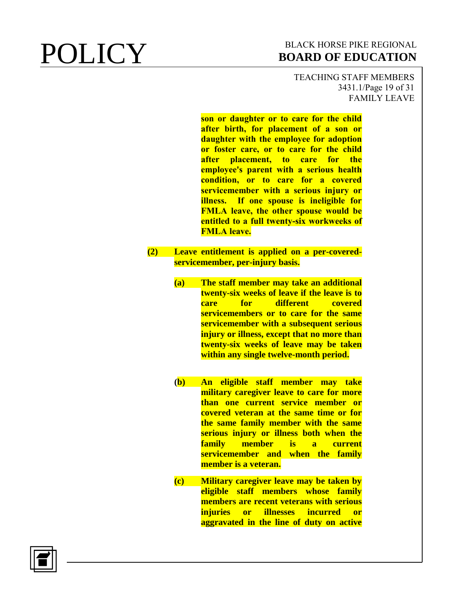TEACHING STAFF MEMBERS 3431.1/Page 19 of 31 FAMILY LEAVE

**son or daughter or to care for the child after birth, for placement of a son or daughter with the employee for adoption or foster care, or to care for the child after placement, to care for the employee's parent with a serious health condition, or to care for a covered servicemember with a serious injury or illness. If one spouse is ineligible for FMLA leave, the other spouse would be entitled to a full twenty-six workweeks of FMLA leave.**

- **(2) Leave entitlement is applied on a per-coveredservicemember, per-injury basis.**
	- **(a) The staff member may take an additional twenty-six weeks of leave if the leave is to care for different covered servicemembers or to care for the same servicemember with a subsequent serious injury or illness, except that no more than twenty-six weeks of leave may be taken within any single twelve-month period.**
	- **(b) An eligible staff member may take military caregiver leave to care for more than one current service member or covered veteran at the same time or for the same family member with the same serious injury or illness both when the family member is a current servicemember and when the family member is a veteran.**
	- **(c) Military caregiver leave may be taken by eligible staff members whose family members are recent veterans with serious injuries or illnesses incurred or aggravated in the line of duty on active**

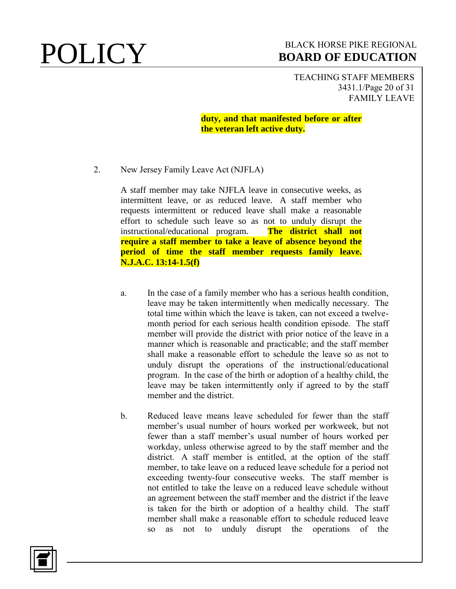TEACHING STAFF MEMBERS 3431.1/Page 20 of 31 FAMILY LEAVE

**duty, and that manifested before or after the veteran left active duty.**

2. New Jersey Family Leave Act (NJFLA)

A staff member may take NJFLA leave in consecutive weeks, as intermittent leave, or as reduced leave. A staff member who requests intermittent or reduced leave shall make a reasonable effort to schedule such leave so as not to unduly disrupt the instructional/educational program. **The district shall not require a staff member to take a leave of absence beyond the period of time the staff member requests family leave. N.J.A.C. 13:14-1.5(f)**

- a. In the case of a family member who has a serious health condition, leave may be taken intermittently when medically necessary. The total time within which the leave is taken, can not exceed a twelvemonth period for each serious health condition episode. The staff member will provide the district with prior notice of the leave in a manner which is reasonable and practicable; and the staff member shall make a reasonable effort to schedule the leave so as not to unduly disrupt the operations of the instructional/educational program. In the case of the birth or adoption of a healthy child, the leave may be taken intermittently only if agreed to by the staff member and the district.
- b. Reduced leave means leave scheduled for fewer than the staff member's usual number of hours worked per workweek, but not fewer than a staff member's usual number of hours worked per workday, unless otherwise agreed to by the staff member and the district. A staff member is entitled, at the option of the staff member, to take leave on a reduced leave schedule for a period not exceeding twenty-four consecutive weeks. The staff member is not entitled to take the leave on a reduced leave schedule without an agreement between the staff member and the district if the leave is taken for the birth or adoption of a healthy child. The staff member shall make a reasonable effort to schedule reduced leave so as not to unduly disrupt the operations of the

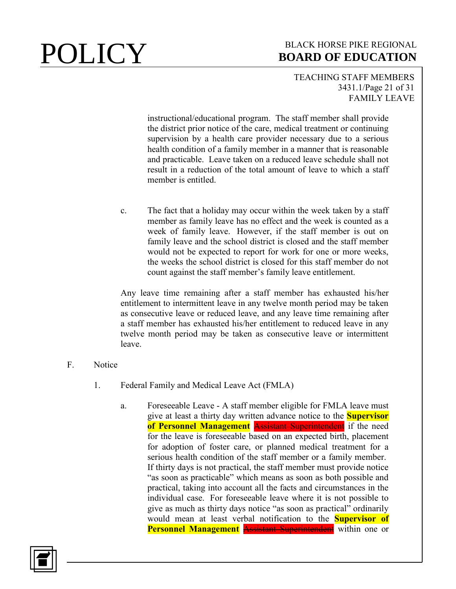## TEACHING STAFF MEMBERS 3431.1/Page 21 of 31 FAMILY LEAVE

instructional/educational program. The staff member shall provide the district prior notice of the care, medical treatment or continuing supervision by a health care provider necessary due to a serious health condition of a family member in a manner that is reasonable and practicable. Leave taken on a reduced leave schedule shall not result in a reduction of the total amount of leave to which a staff member is entitled.

c. The fact that a holiday may occur within the week taken by a staff member as family leave has no effect and the week is counted as a week of family leave. However, if the staff member is out on family leave and the school district is closed and the staff member would not be expected to report for work for one or more weeks, the weeks the school district is closed for this staff member do not count against the staff member's family leave entitlement.

Any leave time remaining after a staff member has exhausted his/her entitlement to intermittent leave in any twelve month period may be taken as consecutive leave or reduced leave, and any leave time remaining after a staff member has exhausted his/her entitlement to reduced leave in any twelve month period may be taken as consecutive leave or intermittent leave.

- F. Notice
	- 1. Federal Family and Medical Leave Act (FMLA)
		- a. Foreseeable Leave A staff member eligible for FMLA leave must give at least a thirty day written advance notice to the **Supervisor of Personnel Management** Assistant Superintendent if the need for the leave is foreseeable based on an expected birth, placement for adoption of foster care, or planned medical treatment for a serious health condition of the staff member or a family member. If thirty days is not practical, the staff member must provide notice "as soon as practicable" which means as soon as both possible and practical, taking into account all the facts and circumstances in the individual case. For foreseeable leave where it is not possible to give as much as thirty days notice "as soon as practical" ordinarily would mean at least verbal notification to the **Supervisor of Personnel Management** Assistant Superintendent within one or

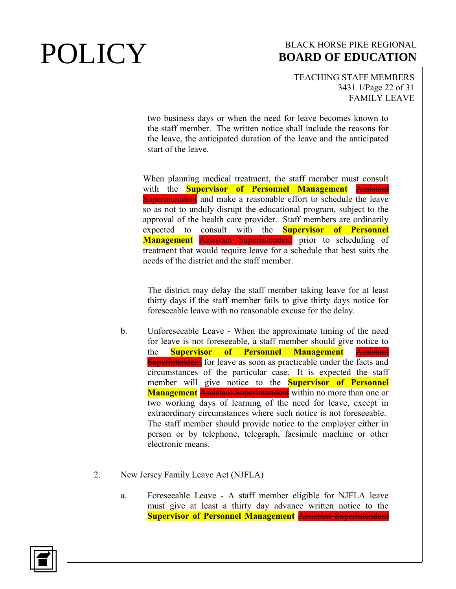## TEACHING STAFF MEMBERS 3431.1/Page 22 of 31 FAMILY LEAVE

two business days or when the need for leave becomes known to the staff member. The written notice shall include the reasons for the leave, the anticipated duration of the leave and the anticipated start of the leave.

When planning medical treatment, the staff member must consult with the **Supervisor of Personnel Management** Assistant **Superintendent** and make a reasonable effort to schedule the leave so as not to unduly disrupt the educational program, subject to the approval of the health care provider. Staff members are ordinarily expected to consult with the **Supervisor of Personnel**  Management **Assistant Superintendent** prior to scheduling of treatment that would require leave for a schedule that best suits the needs of the district and the staff member.

The district may delay the staff member taking leave for at least thirty days if the staff member fails to give thirty days notice for foreseeable leave with no reasonable excuse for the delay.

- b. Unforeseeable Leave When the approximate timing of the need for leave is not foreseeable, a staff member should give notice to the **Supervisor of Personnel Management** Assistant **Superintendent** for leave as soon as practicable under the facts and circumstances of the particular case. It is expected the staff member will give notice to the **Supervisor of Personnel Management** Assistant Superintendent within no more than one or two working days of learning of the need for leave, except in extraordinary circumstances where such notice is not foreseeable. The staff member should provide notice to the employer either in person or by telephone, telegraph, facsimile machine or other electronic means.
- 2. New Jersey Family Leave Act (NJFLA)
	- a. Foreseeable Leave A staff member eligible for NJFLA leave must give at least a thirty day advance written notice to the **Supervisor of Personnel Management** Assistant Superintendent

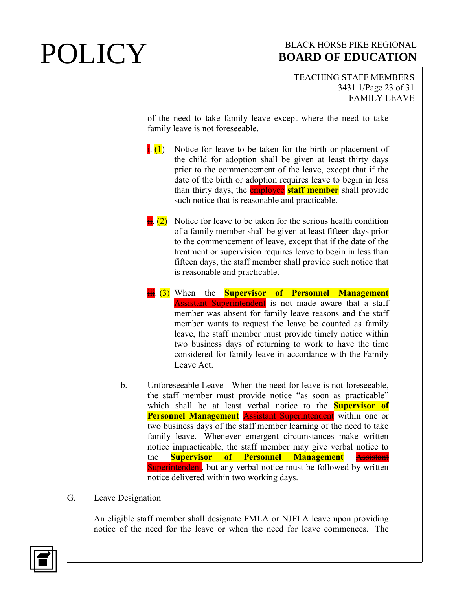TEACHING STAFF MEMBERS 3431.1/Page 23 of 31 FAMILY LEAVE

of the need to take family leave except where the need to take family leave is not foreseeable.

- $\left| \cdot \right|$ . Notice for leave to be taken for the birth or placement of the child for adoption shall be given at least thirty days prior to the commencement of the leave, except that if the date of the birth or adoption requires leave to begin in less than thirty days, the employee **staff member** shall provide such notice that is reasonable and practicable.
- $\frac{1}{16}$  (2) Notice for leave to be taken for the serious health condition of a family member shall be given at least fifteen days prior to the commencement of leave, except that if the date of the treatment or supervision requires leave to begin in less than fifteen days, the staff member shall provide such notice that is reasonable and practicable.
- **iii.** (3) When the **Supervisor of Personnel Management Assistant Superintendent** is not made aware that a staff member was absent for family leave reasons and the staff member wants to request the leave be counted as family leave, the staff member must provide timely notice within two business days of returning to work to have the time considered for family leave in accordance with the Family Leave Act.
- b. Unforeseeable Leave When the need for leave is not foreseeable, the staff member must provide notice "as soon as practicable" which shall be at least verbal notice to the **Supervisor of Personnel Management** Assistant Superintendent within one or two business days of the staff member learning of the need to take family leave. Whenever emergent circumstances make written notice impracticable, the staff member may give verbal notice to the **Supervisor of Personnel Management** Assistant **Superintendent**, but any verbal notice must be followed by written notice delivered within two working days.
- G. Leave Designation

An eligible staff member shall designate FMLA or NJFLA leave upon providing notice of the need for the leave or when the need for leave commences. The

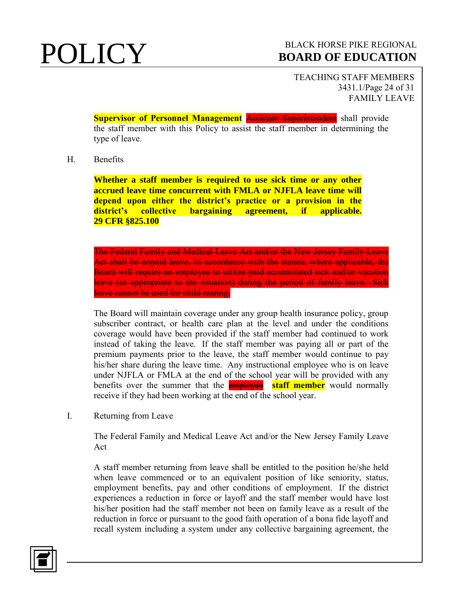TEACHING STAFF MEMBERS 3431.1/Page 24 of 31 FAMILY LEAVE

**Supervisor of Personnel Management Assistant Superintendent** shall provide the staff member with this Policy to assist the staff member in determining the type of leave.

### H. Benefits

**Whether a staff member is required to use sick time or any other accrued leave time concurrent with FMLA or NJFLA leave time will depend upon either the district's practice or a provision in the district's collective bargaining agreement, if applicable. 29 CFR §825.100**

The Federal Family and Medical Leave Act and/or the New Jersey Family Leave Act shall be unpaid leave. In accordance with the statute, where applicable, the Board will require an employee to utilize paid accumulated sick and/or vacation leave (as appropriate to the situation) during the period of family leave. Sick leave cannot be used for child rearing.

The Board will maintain coverage under any group health insurance policy, group subscriber contract, or health care plan at the level and under the conditions coverage would have been provided if the staff member had continued to work instead of taking the leave. If the staff member was paying all or part of the premium payments prior to the leave, the staff member would continue to pay his/her share during the leave time. Any instructional employee who is on leave under NJFLA or FMLA at the end of the school year will be provided with any benefits over the summer that the **employee staff member** would normally receive if they had been working at the end of the school year.

I. Returning from Leave

The Federal Family and Medical Leave Act and/or the New Jersey Family Leave Act

A staff member returning from leave shall be entitled to the position he/she held when leave commenced or to an equivalent position of like seniority, status, employment benefits, pay and other conditions of employment. If the district experiences a reduction in force or layoff and the staff member would have lost his/her position had the staff member not been on family leave as a result of the reduction in force or pursuant to the good faith operation of a bona fide layoff and recall system including a system under any collective bargaining agreement, the

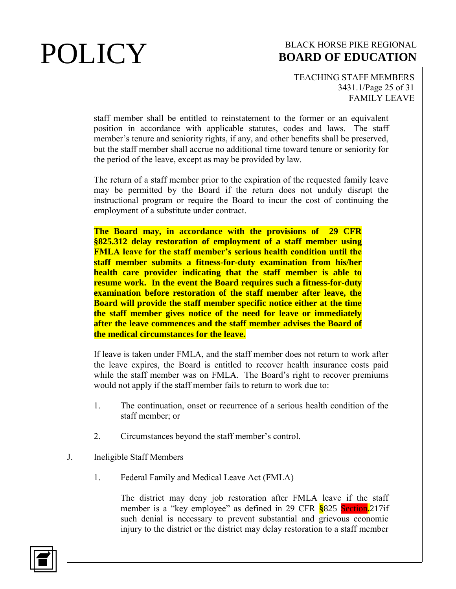### TEACHING STAFF MEMBERS 3431.1/Page 25 of 31 FAMILY LEAVE

staff member shall be entitled to reinstatement to the former or an equivalent position in accordance with applicable statutes, codes and laws. The staff member's tenure and seniority rights, if any, and other benefits shall be preserved, but the staff member shall accrue no additional time toward tenure or seniority for the period of the leave, except as may be provided by law.

The return of a staff member prior to the expiration of the requested family leave may be permitted by the Board if the return does not unduly disrupt the instructional program or require the Board to incur the cost of continuing the employment of a substitute under contract.

**The Board may, in accordance with the provisions of 29 CFR §825.312 delay restoration of employment of a staff member using FMLA leave for the staff member's serious health condition until the staff member submits a fitness-for-duty examination from his/her health care provider indicating that the staff member is able to resume work. In the event the Board requires such a fitness-for-duty examination before restoration of the staff member after leave, the Board will provide the staff member specific notice either at the time the staff member gives notice of the need for leave or immediately after the leave commences and the staff member advises the Board of the medical circumstances for the leave.** 

If leave is taken under FMLA, and the staff member does not return to work after the leave expires, the Board is entitled to recover health insurance costs paid while the staff member was on FMLA. The Board's right to recover premiums would not apply if the staff member fails to return to work due to:

- 1. The continuation, onset or recurrence of a serious health condition of the staff member; or
- 2. Circumstances beyond the staff member's control.
- J. Ineligible Staff Members
	- 1. Federal Family and Medical Leave Act (FMLA)

The district may deny job restoration after FMLA leave if the staff member is a "key employee" as defined in 29 CFR **§**825 Section**.**217if such denial is necessary to prevent substantial and grievous economic injury to the district or the district may delay restoration to a staff member

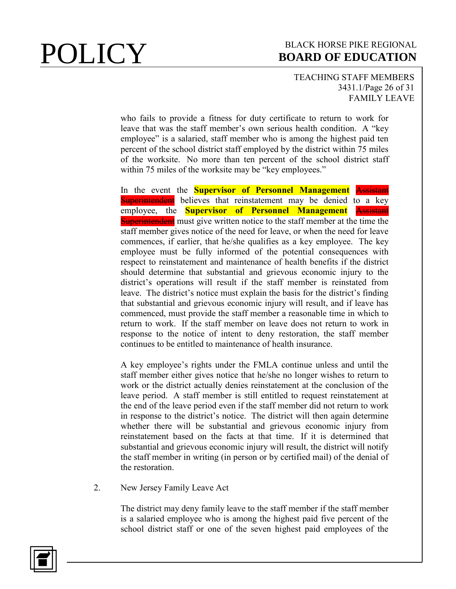## TEACHING STAFF MEMBERS 3431.1/Page 26 of 31 FAMILY LEAVE

who fails to provide a fitness for duty certificate to return to work for leave that was the staff member's own serious health condition. A "key employee" is a salaried, staff member who is among the highest paid ten percent of the school district staff employed by the district within 75 miles of the worksite. No more than ten percent of the school district staff within 75 miles of the worksite may be "key employees."

In the event the **Supervisor of Personnel Management** Assistant Superintendent believes that reinstatement may be denied to a key employee, the **Supervisor of Personnel Management** Assistant **Superintendent** must give written notice to the staff member at the time the staff member gives notice of the need for leave, or when the need for leave commences, if earlier, that he/she qualifies as a key employee. The key employee must be fully informed of the potential consequences with respect to reinstatement and maintenance of health benefits if the district should determine that substantial and grievous economic injury to the district's operations will result if the staff member is reinstated from leave. The district's notice must explain the basis for the district's finding that substantial and grievous economic injury will result, and if leave has commenced, must provide the staff member a reasonable time in which to return to work. If the staff member on leave does not return to work in response to the notice of intent to deny restoration, the staff member continues to be entitled to maintenance of health insurance.

A key employee's rights under the FMLA continue unless and until the staff member either gives notice that he/she no longer wishes to return to work or the district actually denies reinstatement at the conclusion of the leave period. A staff member is still entitled to request reinstatement at the end of the leave period even if the staff member did not return to work in response to the district's notice. The district will then again determine whether there will be substantial and grievous economic injury from reinstatement based on the facts at that time. If it is determined that substantial and grievous economic injury will result, the district will notify the staff member in writing (in person or by certified mail) of the denial of the restoration.

2. New Jersey Family Leave Act

The district may deny family leave to the staff member if the staff member is a salaried employee who is among the highest paid five percent of the school district staff or one of the seven highest paid employees of the

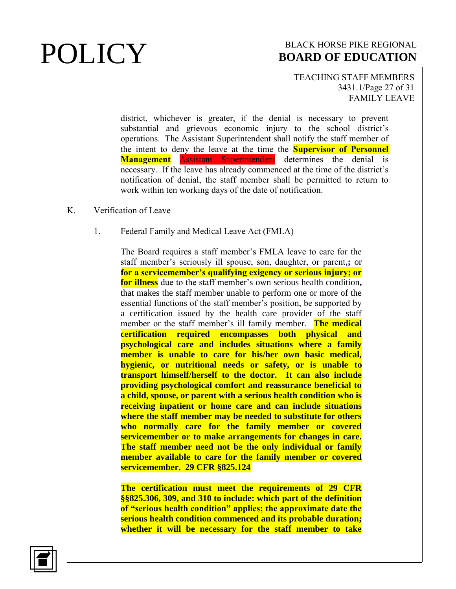### TEACHING STAFF MEMBERS 3431.1/Page 27 of 31 FAMILY LEAVE

district, whichever is greater, if the denial is necessary to prevent substantial and grievous economic injury to the school district's operations. The Assistant Superintendent shall notify the staff member of the intent to deny the leave at the time the **Supervisor of Personnel Management Assistant Superintendent** determines the denial is necessary. If the leave has already commenced at the time of the district's notification of denial, the staff member shall be permitted to return to work within ten working days of the date of notification.

- K. Verification of Leave
	- 1. Federal Family and Medical Leave Act (FMLA)

The Board requires a staff member's FMLA leave to care for the staff member's seriously ill spouse, son, daughter, or parent,**;** or **for a servicemember's qualifying exigency or serious injury; or for illness** due to the staff member's own serious health condition**,**  that makes the staff member unable to perform one or more of the essential functions of the staff member's position, be supported by a certification issued by the health care provider of the staff member or the staff member's ill family member. **The medical certification required encompasses both physical psychological care and includes situations where a family member is unable to care for his/her own basic medical, hygienic, or nutritional needs or safety, or is unable to transport himself/herself to the doctor. It can also include providing psychological comfort and reassurance beneficial to a child, spouse, or parent with a serious health condition who is receiving inpatient or home care and can include situations where the staff member may be needed to substitute for others who normally care for the family member or covered servicemember or to make arrangements for changes in care. The staff member need not be the only individual or family member available to care for the family member or covered servicemember. 29 CFR §825.124**

**The certification must meet the requirements of 29 CFR §§825.306, 309, and 310 to include: which part of the definition of "serious health condition" applies; the approximate date the serious health condition commenced and its probable duration; whether it will be necessary for the staff member to take** 

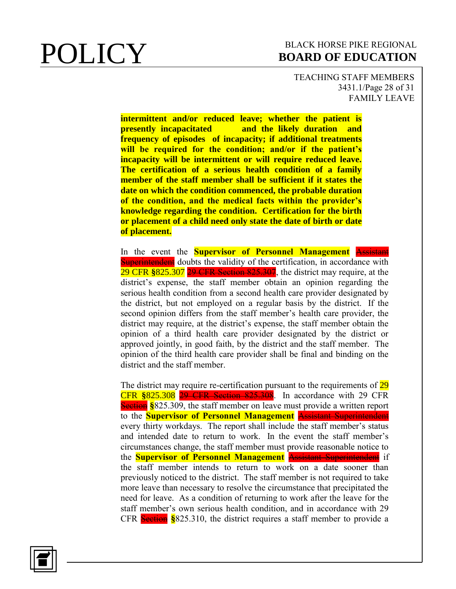TEACHING STAFF MEMBERS 3431.1/Page 28 of 31 FAMILY LEAVE

**intermittent and/or reduced leave; whether the patient is presently incapacitated and the likely duration and frequency of episodes of incapacity; if additional treatments will be required for the condition; and/or if the patient's incapacity will be intermittent or will require reduced leave. The certification of a serious health condition of a family member of the staff member shall be sufficient if it states the date on which the condition commenced, the probable duration of the condition, and the medical facts within the provider's knowledge regarding the condition. Certification for the birth or placement of a child need only state the date of birth or date of placement.**

In the event the **Supervisor of Personnel Management** Assistant **Superintendent** doubts the validity of the certification, in accordance with 29 CFR **§**825.307 29 CFR Section 825.307, the district may require, at the district's expense, the staff member obtain an opinion regarding the serious health condition from a second health care provider designated by the district, but not employed on a regular basis by the district. If the second opinion differs from the staff member's health care provider, the district may require, at the district's expense, the staff member obtain the opinion of a third health care provider designated by the district or approved jointly, in good faith, by the district and the staff member. The opinion of the third health care provider shall be final and binding on the district and the staff member.

The district may require re-certification pursuant to the requirements of 29 CFR **§**825.308 29 CFR Section 825.308. In accordance with 29 CFR **Section §825.309, the staff member on leave must provide a written report** to the **Supervisor of Personnel Management** Assistant Superintendent every thirty workdays. The report shall include the staff member's status and intended date to return to work. In the event the staff member's circumstances change, the staff member must provide reasonable notice to the **Supervisor of Personnel Management** Assistant Superintendent if the staff member intends to return to work on a date sooner than previously noticed to the district. The staff member is not required to take more leave than necessary to resolve the circumstance that precipitated the need for leave. As a condition of returning to work after the leave for the staff member's own serious health condition, and in accordance with 29 CFR Section **§**825.310, the district requires a staff member to provide a

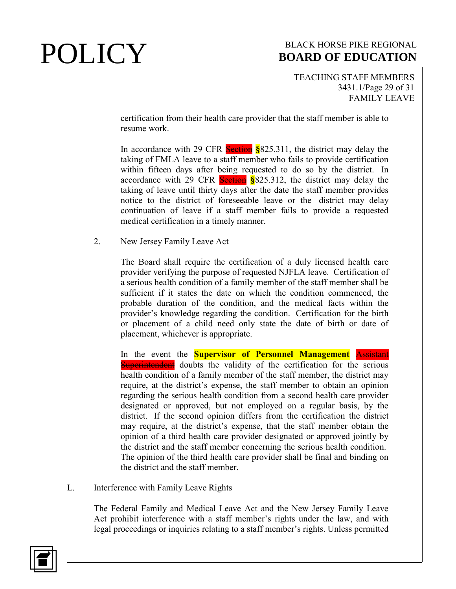TEACHING STAFF MEMBERS 3431.1/Page 29 of 31 FAMILY LEAVE

certification from their health care provider that the staff member is able to resume work.

In accordance with 29 CFR Section **§**825.311, the district may delay the taking of FMLA leave to a staff member who fails to provide certification within fifteen days after being requested to do so by the district. In accordance with 29 CFR Section **§**825.312, the district may delay the taking of leave until thirty days after the date the staff member provides notice to the district of foreseeable leave or the district may delay continuation of leave if a staff member fails to provide a requested medical certification in a timely manner.

2. New Jersey Family Leave Act

The Board shall require the certification of a duly licensed health care provider verifying the purpose of requested NJFLA leave. Certification of a serious health condition of a family member of the staff member shall be sufficient if it states the date on which the condition commenced, the probable duration of the condition, and the medical facts within the provider's knowledge regarding the condition. Certification for the birth or placement of a child need only state the date of birth or date of placement, whichever is appropriate.

In the event the **Supervisor of Personnel Management** Assistant **Superintendent** doubts the validity of the certification for the serious health condition of a family member of the staff member, the district may require, at the district's expense, the staff member to obtain an opinion regarding the serious health condition from a second health care provider designated or approved, but not employed on a regular basis, by the district. If the second opinion differs from the certification the district may require, at the district's expense, that the staff member obtain the opinion of a third health care provider designated or approved jointly by the district and the staff member concerning the serious health condition. The opinion of the third health care provider shall be final and binding on the district and the staff member.

L. Interference with Family Leave Rights

The Federal Family and Medical Leave Act and the New Jersey Family Leave Act prohibit interference with a staff member's rights under the law, and with legal proceedings or inquiries relating to a staff member's rights. Unless permitted

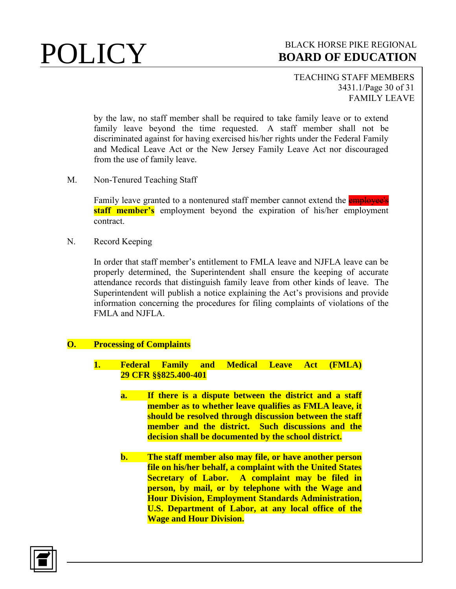TEACHING STAFF MEMBERS 3431.1/Page 30 of 31 FAMILY LEAVE

by the law, no staff member shall be required to take family leave or to extend family leave beyond the time requested. A staff member shall not be discriminated against for having exercised his/her rights under the Federal Family and Medical Leave Act or the New Jersey Family Leave Act nor discouraged from the use of family leave.

M. Non-Tenured Teaching Staff

Family leave granted to a nontenured staff member cannot extend the **employee's staff member's** employment beyond the expiration of his/her employment contract.

N. Record Keeping

In order that staff member's entitlement to FMLA leave and NJFLA leave can be properly determined, the Superintendent shall ensure the keeping of accurate attendance records that distinguish family leave from other kinds of leave. The Superintendent will publish a notice explaining the Act's provisions and provide information concerning the procedures for filing complaints of violations of the FMLA and NJFLA.

## **O. Processing of Complaints**

- **1. Federal Family and Medical Leave Act (FMLA) 29 CFR §§825.400-401**
	- **a. If there is a dispute between the district and a staff member as to whether leave qualifies as FMLA leave, it should be resolved through discussion between the staff member and the district. Such discussions and the decision shall be documented by the school district.**
	- **b. The staff member also may file, or have another person file on his/her behalf, a complaint with the United States Secretary of Labor. A complaint may be filed in person, by mail, or by telephone with the Wage and Hour Division, Employment Standards Administration, U.S. Department of Labor, at any local office of the Wage and Hour Division.**